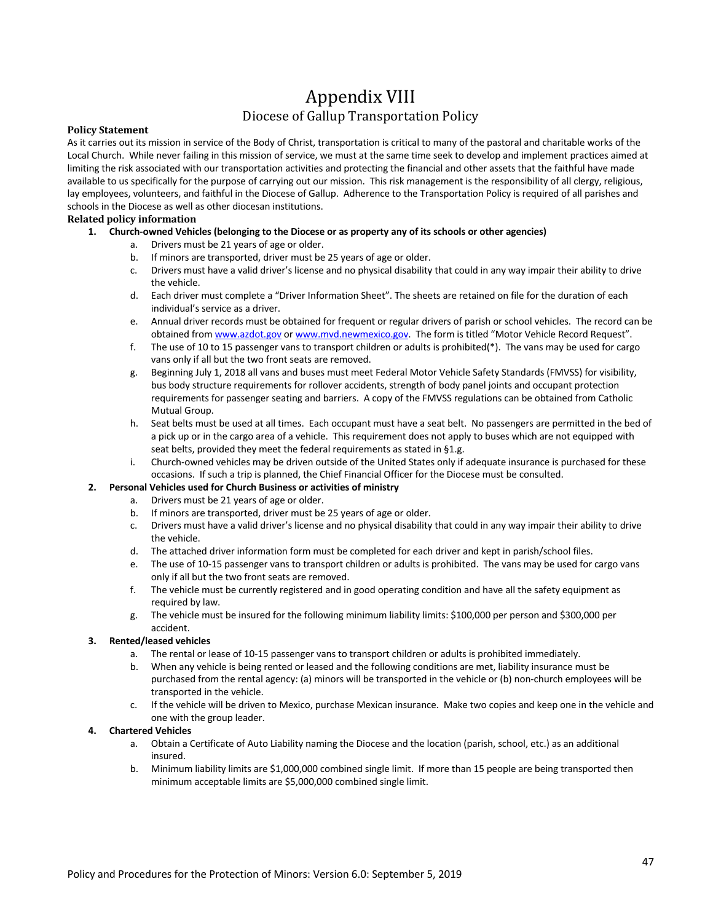# Appendix VIII

### Diocese of Gallup Transportation Policy

#### **Policy Statement**

As it carries out its mission in service of the Body of Christ, transportation is critical to many of the pastoral and charitable works of the Local Church. While never failing in this mission of service, we must at the same time seek to develop and implement practices aimed at limiting the risk associated with our transportation activities and protecting the financial and other assets that the faithful have made available to us specifically for the purpose of carrying out our mission. This risk management is the responsibility of all clergy, religious, lay employees, volunteers, and faithful in the Diocese of Gallup. Adherence to the Transportation Policy is required of all parishes and schools in the Diocese as well as other diocesan institutions.

#### **Related policy information**

- **1. Church-owned Vehicles (belonging to the Diocese or as property any of its schools or other agencies)**
	- a. Drivers must be 21 years of age or older.
	- b. If minors are transported, driver must be 25 years of age or older.
	- c. Drivers must have a valid driver's license and no physical disability that could in any way impair their ability to drive the vehicle.
	- d. Each driver must complete a "Driver Information Sheet". The sheets are retained on file for the duration of each individual's service as a driver.
	- e. Annual driver records must be obtained for frequent or regular drivers of parish or school vehicles. The record can be obtained from www.azdot.gov or www.mvd.newmexico.gov. The form is titled "Motor Vehicle Record Request".
	- f. The use of 10 to 15 passenger vans to transport children or adults is prohibited(\*). The vans may be used for cargo vans only if all but the two front seats are removed.
	- g. Beginning July 1, 2018 all vans and buses must meet Federal Motor Vehicle Safety Standards (FMVSS) for visibility, bus body structure requirements for rollover accidents, strength of body panel joints and occupant protection requirements for passenger seating and barriers. A copy of the FMVSS regulations can be obtained from Catholic Mutual Group.
	- h. Seat belts must be used at all times. Each occupant must have a seat belt. No passengers are permitted in the bed of a pick up or in the cargo area of a vehicle. This requirement does not apply to buses which are not equipped with seat belts, provided they meet the federal requirements as stated in §1.g.
	- i. Church-owned vehicles may be driven outside of the United States only if adequate insurance is purchased for these occasions. If such a trip is planned, the Chief Financial Officer for the Diocese must be consulted.

#### **2. Personal Vehicles used for Church Business or activities of ministry**

- a. Drivers must be 21 years of age or older.
- b. If minors are transported, driver must be 25 years of age or older.
- c. Drivers must have a valid driver's license and no physical disability that could in any way impair their ability to drive the vehicle.
- d. The attached driver information form must be completed for each driver and kept in parish/school files.
- e. The use of 10-15 passenger vans to transport children or adults is prohibited. The vans may be used for cargo vans only if all but the two front seats are removed.
- f. The vehicle must be currently registered and in good operating condition and have all the safety equipment as required by law.
- g. The vehicle must be insured for the following minimum liability limits: \$100,000 per person and \$300,000 per accident.

#### **3. Rented/leased vehicles**

- a. The rental or lease of 10-15 passenger vans to transport children or adults is prohibited immediately.
- b. When any vehicle is being rented or leased and the following conditions are met, liability insurance must be purchased from the rental agency: (a) minors will be transported in the vehicle or (b) non-church employees will be transported in the vehicle.
- c. If the vehicle will be driven to Mexico, purchase Mexican insurance. Make two copies and keep one in the vehicle and one with the group leader.

#### **4. Chartered Vehicles**

- a. Obtain a Certificate of Auto Liability naming the Diocese and the location (parish, school, etc.) as an additional insured.
- b. Minimum liability limits are \$1,000,000 combined single limit. If more than 15 people are being transported then minimum acceptable limits are \$5,000,000 combined single limit.